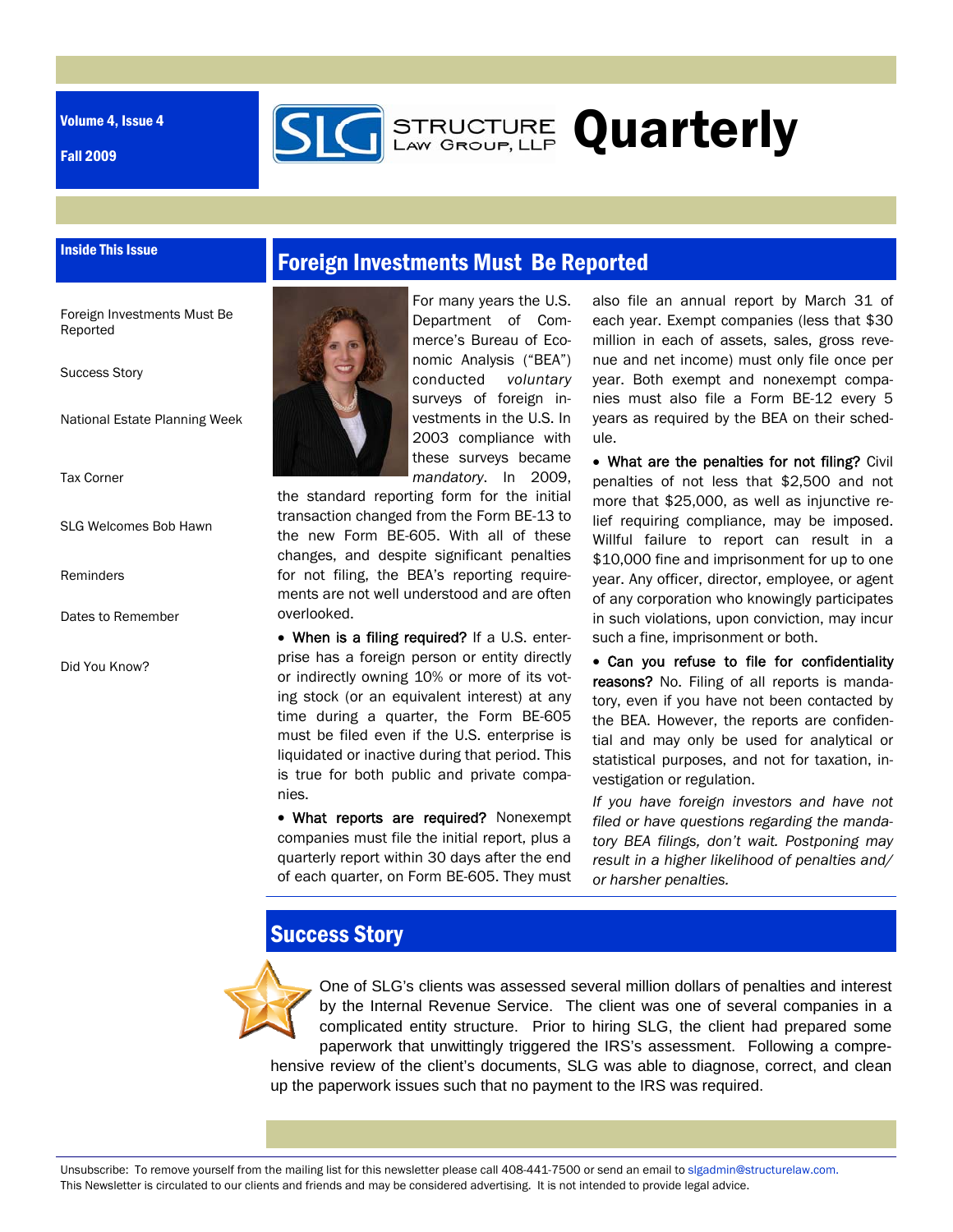Volume 4, Issue 4

Inside This Issue

Fall 2009

## Foreign Investments Must Be Reported

Foreign Investments Must Be Reported

Success Story

National Estate Planning Week

Tax Corner

SLG Welcomes Bob Hawn

Reminders

Dates to Remember

Did You Know?



For many years the U.S. Department of Commerce's Bureau of Economic Analysis ("BEA") conducted *voluntary* surveys of foreign investments in the U.S. In 2003 compliance with these surveys became *mandatory*. In 2009,

**STRUCTURE Quarterly** 

the standard reporting form for the initial transaction changed from the Form BE-13 to the new Form BE-605. With all of these changes, and despite significant penalties for not filing, the BEA's reporting requirements are not well understood and are often overlooked.

 When is a filing required? If a U.S. enterprise has a foreign person or entity directly or indirectly owning 10% or more of its voting stock (or an equivalent interest) at any time during a quarter, the Form BE-605 must be filed even if the U.S. enterprise is liquidated or inactive during that period. This is true for both public and private companies.

• What reports are required? Nonexempt companies must file the initial report, plus a quarterly report within 30 days after the end of each quarter, on Form BE-605. They must also file an annual report by March 31 of each year. Exempt companies (less that \$30 million in each of assets, sales, gross revenue and net income) must only file once per year. Both exempt and nonexempt companies must also file a Form BE-12 every 5 years as required by the BEA on their schedule.

 What are the penalties for not filing? Civil penalties of not less that \$2,500 and not more that \$25,000, as well as injunctive relief requiring compliance, may be imposed. Willful failure to report can result in a \$10,000 fine and imprisonment for up to one year. Any officer, director, employee, or agent of any corporation who knowingly participates in such violations, upon conviction, may incur such a fine, imprisonment or both.

 Can you refuse to file for confidentiality reasons? No. Filing of all reports is mandatory, even if you have not been contacted by the BEA. However, the reports are confidential and may only be used for analytical or statistical purposes, and not for taxation, investigation or regulation.

*If you have foreign investors and have not filed or have questions regarding the mandatory BEA filings, don't wait. Postponing may result in a higher likelihood of penalties and/ or harsher penalties.* 

## Success Story



One of SLG's clients was assessed several million dollars of penalties and interest by the Internal Revenue Service. The client was one of several companies in a complicated entity structure. Prior to hiring SLG, the client had prepared some paperwork that unwittingly triggered the IRS's assessment. Following a comprehensive review of the client's documents, SLG was able to diagnose, correct, and clean up the paperwork issues such that no payment to the IRS was required.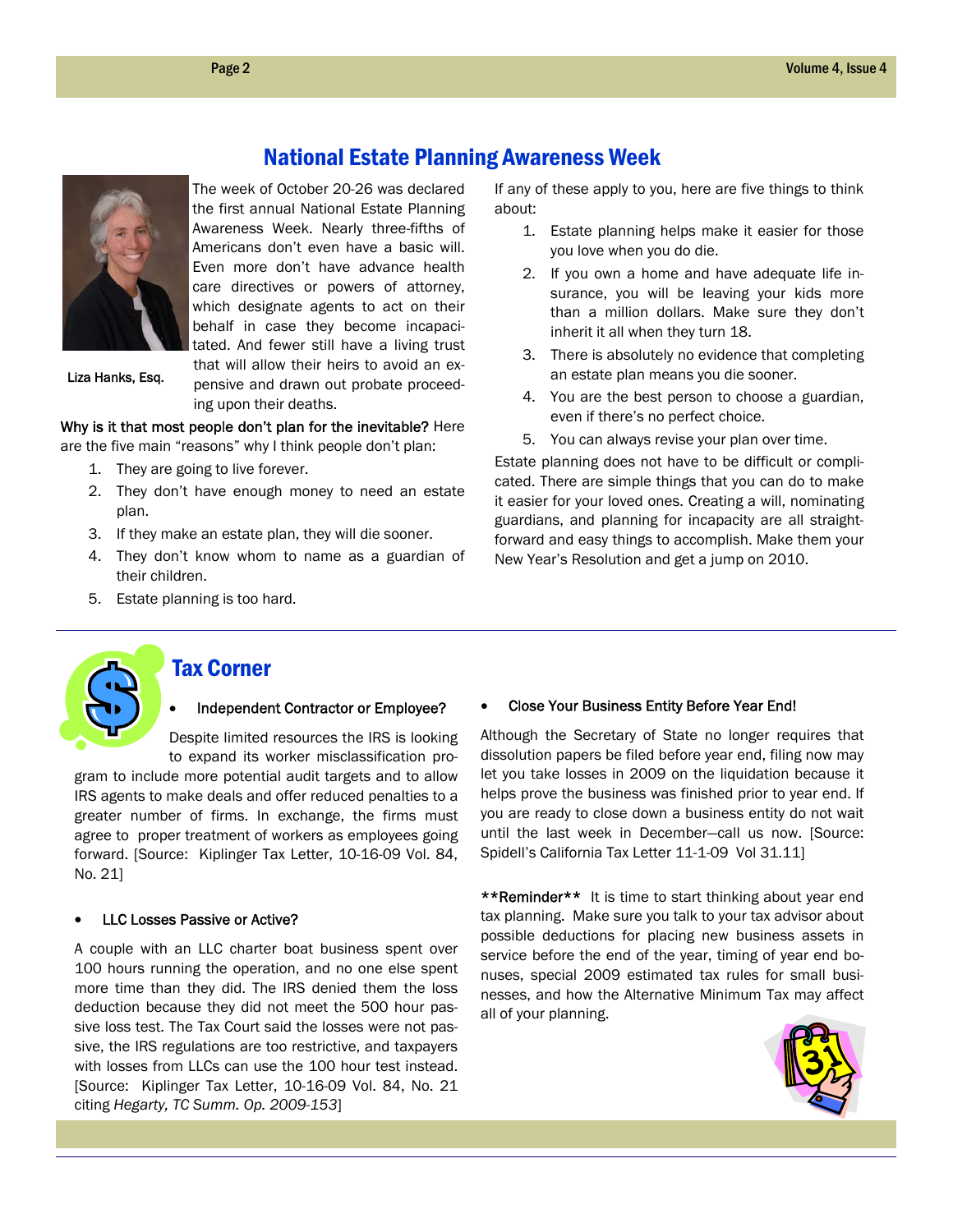

The week of October 20-26 was declared the first annual National Estate Planning Awareness Week. Nearly three-fifths of Americans don't even have a basic will. Even more don't have advance health care directives or powers of attorney, which designate agents to act on their behalf in case they become incapacitated. And fewer still have a living trust that will allow their heirs to avoid an ex-

National Estate Planning Awareness Week

Liza Hanks, Esq.

pensive and drawn out probate proceeding upon their deaths.

Why is it that most people don't plan for the inevitable? Here are the five main "reasons" why I think people don't plan:

- 1. They are going to live forever.
- 2. They don't have enough money to need an estate plan.
- 3. If they make an estate plan, they will die sooner.
- 4. They don't know whom to name as a guardian of their children.
- 5. Estate planning is too hard.

If any of these apply to you, here are five things to think about:

- 1. Estate planning helps make it easier for those you love when you do die.
- 2. If you own a home and have adequate life insurance, you will be leaving your kids more than a million dollars. Make sure they don't inherit it all when they turn 18.
- 3. There is absolutely no evidence that completing an estate plan means you die sooner.
- 4. You are the best person to choose a guardian, even if there's no perfect choice.
- 5. You can always revise your plan over time.

Estate planning does not have to be difficult or complicated. There are simple things that you can do to make it easier for your loved ones. Creating a will, nominating guardians, and planning for incapacity are all straightforward and easy things to accomplish. Make them your New Year's Resolution and get a jump on 2010.



### Tax Corner

#### Independent Contractor or Employee?

Despite limited resources the IRS is looking to expand its worker misclassification pro-

gram to include more potential audit targets and to allow IRS agents to make deals and offer reduced penalties to a greater number of firms. In exchange, the firms must agree to proper treatment of workers as employees going forward. [Source: Kiplinger Tax Letter, 10-16-09 Vol. 84, No. 21]

#### LLC Losses Passive or Active?

A couple with an LLC charter boat business spent over 100 hours running the operation, and no one else spent more time than they did. The IRS denied them the loss deduction because they did not meet the 500 hour passive loss test. The Tax Court said the losses were not passive, the IRS regulations are too restrictive, and taxpayers with losses from LLCs can use the 100 hour test instead. [Source: Kiplinger Tax Letter, 10-16-09 Vol. 84, No. 21 citing *Hegarty, TC Summ. Op. 2009-153*]

#### Close Your Business Entity Before Year End!

Although the Secretary of State no longer requires that dissolution papers be filed before year end, filing now may let you take losses in 2009 on the liquidation because it helps prove the business was finished prior to year end. If you are ready to close down a business entity do not wait until the last week in December—call us now. [Source: Spidell's California Tax Letter 11-1-09 Vol 31.11]

\*\*Reminder\*\* It is time to start thinking about year end tax planning. Make sure you talk to your tax advisor about possible deductions for placing new business assets in service before the end of the year, timing of year end bonuses, special 2009 estimated tax rules for small businesses, and how the Alternative Minimum Tax may affect all of your planning.

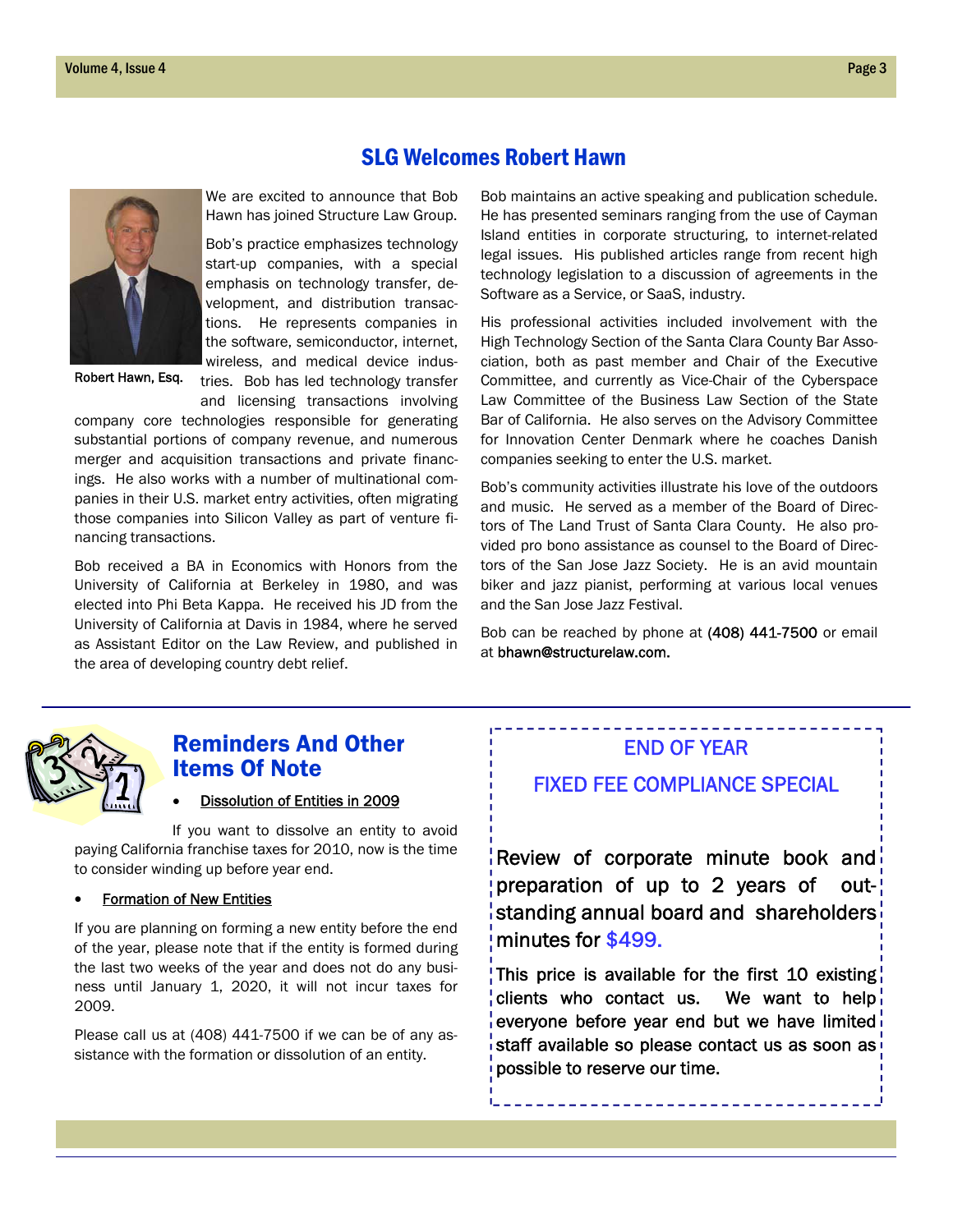

Robert Hawn, Esq.

We are excited to announce that Bob Hawn has joined Structure Law Group.

Bob's practice emphasizes technology start-up companies, with a special emphasis on technology transfer, development, and distribution transactions. He represents companies in the software, semiconductor, internet, wireless, and medical device indus-

tries. Bob has led technology transfer and licensing transactions involving

company core technologies responsible for generating substantial portions of company revenue, and numerous merger and acquisition transactions and private financings. He also works with a number of multinational companies in their U.S. market entry activities, often migrating those companies into Silicon Valley as part of venture financing transactions.

Bob received a BA in Economics with Honors from the University of California at Berkeley in 1980, and was elected into Phi Beta Kappa. He received his JD from the University of California at Davis in 1984, where he served as Assistant Editor on the Law Review, and published in the area of developing country debt relief.

Bob maintains an active speaking and publication schedule. He has presented seminars ranging from the use of Cayman Island entities in corporate structuring, to internet-related legal issues. His published articles range from recent high technology legislation to a discussion of agreements in the Software as a Service, or SaaS, industry.

His professional activities included involvement with the High Technology Section of the Santa Clara County Bar Association, both as past member and Chair of the Executive Committee, and currently as Vice-Chair of the Cyberspace Law Committee of the Business Law Section of the State Bar of California. He also serves on the Advisory Committee for Innovation Center Denmark where he coaches Danish companies seeking to enter the U.S. market.

Bob's community activities illustrate his love of the outdoors and music. He served as a member of the Board of Directors of The Land Trust of Santa Clara County. He also provided pro bono assistance as counsel to the Board of Directors of the San Jose Jazz Society. He is an avid mountain biker and jazz pianist, performing at various local venues and the San Jose Jazz Festival.

Bob can be reached by phone at (408) 441-7500 or email at bhawn@structurelaw.com.



### Reminders And Other Items Of Note

#### Dissolution of Entities in 2009

If you want to dissolve an entity to avoid paying California franchise taxes for 2010, now is the time to consider winding up before year end.

#### Formation of New Entities

If you are planning on forming a new entity before the end of the year, please note that if the entity is formed during the last two weeks of the year and does not do any business until January 1, 2020, it will not incur taxes for 2009.

Please call us at (408) 441-7500 if we can be of any assistance with the formation or dissolution of an entity.

### END OF YEAR

### FIXED FEE COMPLIANCE SPECIAL

Review of corporate minute book and preparation of up to 2 years of outstanding annual board and shareholders minutes for \$499.

This price is available for the first 10 existing clients who contact us. We want to help everyone before year end but we have limited staff available so please contact us as soon as possible to reserve our time.

### SLG Welcomes Robert Hawn